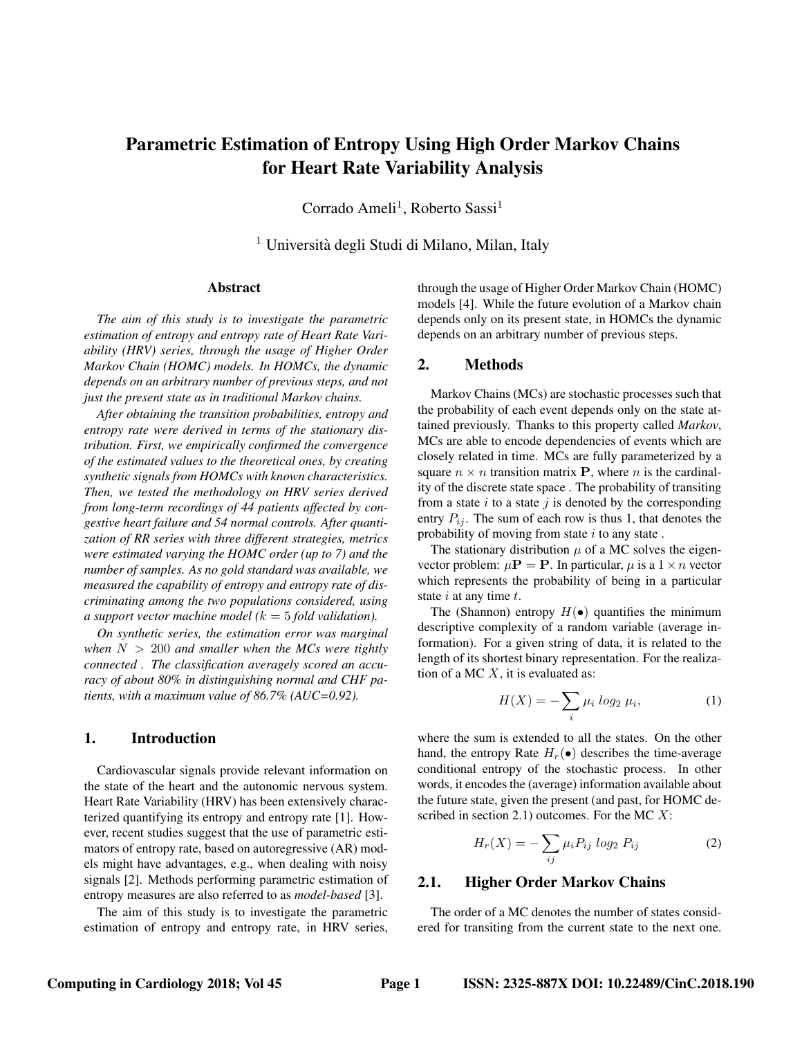# Parametric Estimation of Entropy Using High Order Markov Chains for Heart Rate Variability Analysis

Corrado Ameli<sup>1</sup>, Roberto Sassi<sup>1</sup>

 $<sup>1</sup>$  Università degli Studi di Milano, Milan, Italy</sup>

# Abstract

*The aim of this study is to investigate the parametric estimation of entropy and entropy rate of Heart Rate Variability (HRV) series, through the usage of Higher Order Markov Chain (HOMC) models. In HOMCs, the dynamic depends on an arbitrary number of previous steps, and not just the present state as in traditional Markov chains.*

*After obtaining the transition probabilities, entropy and entropy rate were derived in terms of the stationary distribution. First, we empirically confirmed the convergence of the estimated values to the theoretical ones, by creating synthetic signals from HOMCs with known characteristics. Then, we tested the methodology on HRV series derived from long-term recordings of 44 patients affected by congestive heart failure and 54 normal controls. After quantization of RR series with three different strategies, metrics were estimated varying the HOMC order (up to 7) and the number of samples. As no gold standard was available, we measured the capability of entropy and entropy rate of discriminating among the two populations considered, using a support vector machine model (*k = 5 *fold validation).*

*On synthetic series, the estimation error was marginal* when  $N > 200$  *and smaller when the MCs were tightly connected . The classification averagely scored an accuracy of about 80% in distinguishing normal and CHF patients, with a maximum value of 86.7% (AUC=0.92).*

# 1. Introduction

Cardiovascular signals provide relevant information on the state of the heart and the autonomic nervous system. Heart Rate Variability (HRV) has been extensively characterized quantifying its entropy and entropy rate [1]. However, recent studies suggest that the use of parametric estimators of entropy rate, based on autoregressive (AR) models might have advantages, e.g., when dealing with noisy signals [2]. Methods performing parametric estimation of entropy measures are also referred to as *model-based* [3].

The aim of this study is to investigate the parametric estimation of entropy and entropy rate, in HRV series, through the usage of Higher Order Markov Chain (HOMC) models [4]. While the future evolution of a Markov chain depends only on its present state, in HOMCs the dynamic depends on an arbitrary number of previous steps.

### 2. Methods

Markov Chains (MCs) are stochastic processes such that the probability of each event depends only on the state attained previously. Thanks to this property called *Markov*, MCs are able to encode dependencies of events which are closely related in time. MCs are fully parameterized by a square  $n \times n$  transition matrix **P**, where *n* is the cardinality of the discrete state space . The probability of transiting from a state  $i$  to a state  $j$  is denoted by the corresponding entry  $P_{ij}$ . The sum of each row is thus 1, that denotes the probability of moving from state  $i$  to any state.

The stationary distribution  $\mu$  of a MC solves the eigenvector problem:  $\mu$ **P** = **P**. In particular,  $\mu$  is a 1  $\times$  *n* vector which represents the probability of being in a particular state  $i$  at any time  $t$ .

The (Shannon) entropy  $H(\bullet)$  quantifies the minimum descriptive complexity of a random variable (average information). For a given string of data, it is related to the length of its shortest binary representation. For the realization of a MC  $X$ , it is evaluated as:

$$
H(X) = -\sum_{i} \mu_i \log_2 \mu_i, \tag{1}
$$

where the sum is extended to all the states. On the other hand, the entropy Rate  $H_r(\bullet)$  describes the time-average conditional entropy of the stochastic process. In other words, it encodes the (average) information available about the future state, given the present (and past, for HOMC described in section 2.1) outcomes. For the MC  $X$ :

$$
H_r(X) = -\sum_{ij} \mu_i P_{ij} \log_2 P_{ij} \tag{2}
$$

# 2.1. Higher Order Markov Chains

The order of a MC denotes the number of states considered for transiting from the current state to the next one.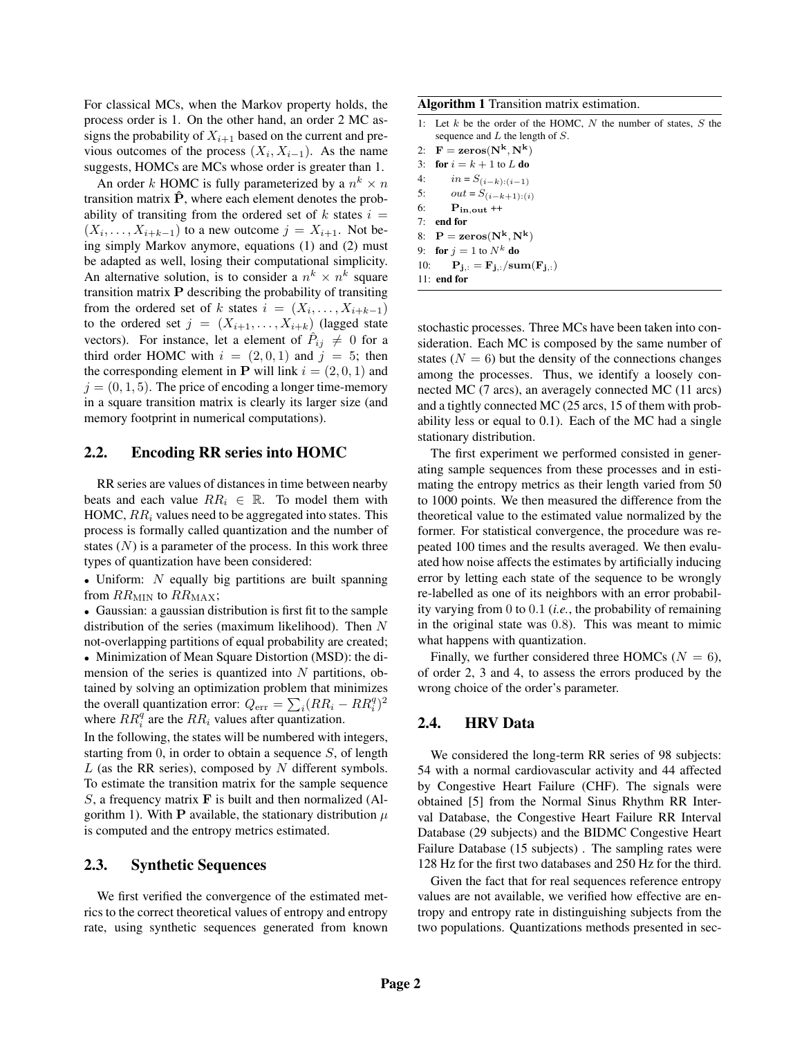For classical MCs, when the Markov property holds, the process order is 1. On the other hand, an order 2 MC assigns the probability of  $X_{i+1}$  based on the current and previous outcomes of the process  $(X_i, X_{i-1})$ . As the name suggests, HOMCs are MCs whose order is greater than 1.

An order k HOMC is fully parameterized by a  $n^k \times n$ transition matrix  $\hat{P}$ , where each element denotes the probability of transiting from the ordered set of  $k$  states  $i =$  $(X_i, \ldots, X_{i+k-1})$  to a new outcome  $j = X_{i+1}$ . Not being simply Markov anymore, equations (1) and (2) must be adapted as well, losing their computational simplicity. An alternative solution, is to consider a  $n^k \times n^k$  square transition matrix P describing the probability of transiting from the ordered set of k states  $i = (X_i, \dots, X_{i+k-1})$ to the ordered set  $j = (X_{i+1}, \ldots, X_{i+k})$  (lagged state vectors). For instance, let a element of  $\hat{P}_{ij} \neq 0$  for a third order HOMC with  $i = (2, 0, 1)$  and  $j = 5$ ; then the corresponding element in **P** will link  $i = (2, 0, 1)$  and  $j = (0, 1, 5)$ . The price of encoding a longer time-memory in a square transition matrix is clearly its larger size (and memory footprint in numerical computations).

#### 2.2. Encoding RR series into HOMC

RR series are values of distances in time between nearby beats and each value  $RR_i \in \mathbb{R}$ . To model them with HOMC,  $RR_i$  values need to be aggregated into states. This process is formally called quantization and the number of states  $(N)$  is a parameter of the process. In this work three types of quantization have been considered:

• Uniform:  $N$  equally big partitions are built spanning from  $RR_{MIN}$  to  $RR_{MAX}$ ;

• Gaussian: a gaussian distribution is first fit to the sample distribution of the series (maximum likelihood). Then N not-overlapping partitions of equal probability are created;

• Minimization of Mean Square Distortion (MSD): the dimension of the series is quantized into  $N$  partitions, obtained by solving an optimization problem that minimizes the overall quantization error:  $Q_{\text{err}} = \sum_i (RR_i - RR_i^q)^2$ where  $RR_i^q$  are the  $RR_i$  values after quantization.

In the following, the states will be numbered with integers, starting from 0, in order to obtain a sequence  $S$ , of length L (as the RR series), composed by N different symbols. To estimate the transition matrix for the sample sequence S, a frequency matrix  $\bf{F}$  is built and then normalized (Algorithm 1). With P available, the stationary distribution  $\mu$ is computed and the entropy metrics estimated.

#### 2.3. Synthetic Sequences

We first verified the convergence of the estimated metrics to the correct theoretical values of entropy and entropy rate, using synthetic sequences generated from known Algorithm 1 Transition matrix estimation.

1: Let  $k$  be the order of the HOMC,  $N$  the number of states,  $S$  the sequence and  $L$  the length of  $S$ .

2:  $\mathbf{F} = \mathbf{zeros}(\mathbf{N}^{\mathbf{k}}, \mathbf{N}^{\mathbf{k}})$ 3: for  $i = k + 1$  to L do 4:  $in = S_{(i-k):(i-1)}$ 

- 5:  $out = S_{(i-k+1):(i)}$
- 6:  $P_{in,out}$  ++
- 7: end for
- 8:  $P = zeros(N^k, N^k)$
- 9: for  $j = 1$  to  $N^k$  do
- 10:  $\mathbf{P}_{\mathbf{j},:} = \mathbf{F}_{\mathbf{j},:}/\text{sum}(\mathbf{F}_{\mathbf{j},:})$
- 11: end for

stochastic processes. Three MCs have been taken into consideration. Each MC is composed by the same number of states  $(N = 6)$  but the density of the connections changes among the processes. Thus, we identify a loosely connected MC (7 arcs), an averagely connected MC (11 arcs) and a tightly connected MC (25 arcs, 15 of them with probability less or equal to 0.1). Each of the MC had a single stationary distribution.

The first experiment we performed consisted in generating sample sequences from these processes and in estimating the entropy metrics as their length varied from 50 to 1000 points. We then measured the difference from the theoretical value to the estimated value normalized by the former. For statistical convergence, the procedure was repeated 100 times and the results averaged. We then evaluated how noise affects the estimates by artificially inducing error by letting each state of the sequence to be wrongly re-labelled as one of its neighbors with an error probability varying from 0 to 0.1 (*i.e.*, the probability of remaining in the original state was 0.8). This was meant to mimic what happens with quantization.

Finally, we further considered three HOMCs ( $N = 6$ ), of order 2, 3 and 4, to assess the errors produced by the wrong choice of the order's parameter.

#### 2.4. HRV Data

We considered the long-term RR series of 98 subjects: 54 with a normal cardiovascular activity and 44 affected by Congestive Heart Failure (CHF). The signals were obtained [5] from the Normal Sinus Rhythm RR Interval Database, the Congestive Heart Failure RR Interval Database (29 subjects) and the BIDMC Congestive Heart Failure Database (15 subjects) . The sampling rates were 128 Hz for the first two databases and 250 Hz for the third.

Given the fact that for real sequences reference entropy values are not available, we verified how effective are entropy and entropy rate in distinguishing subjects from the two populations. Quantizations methods presented in sec-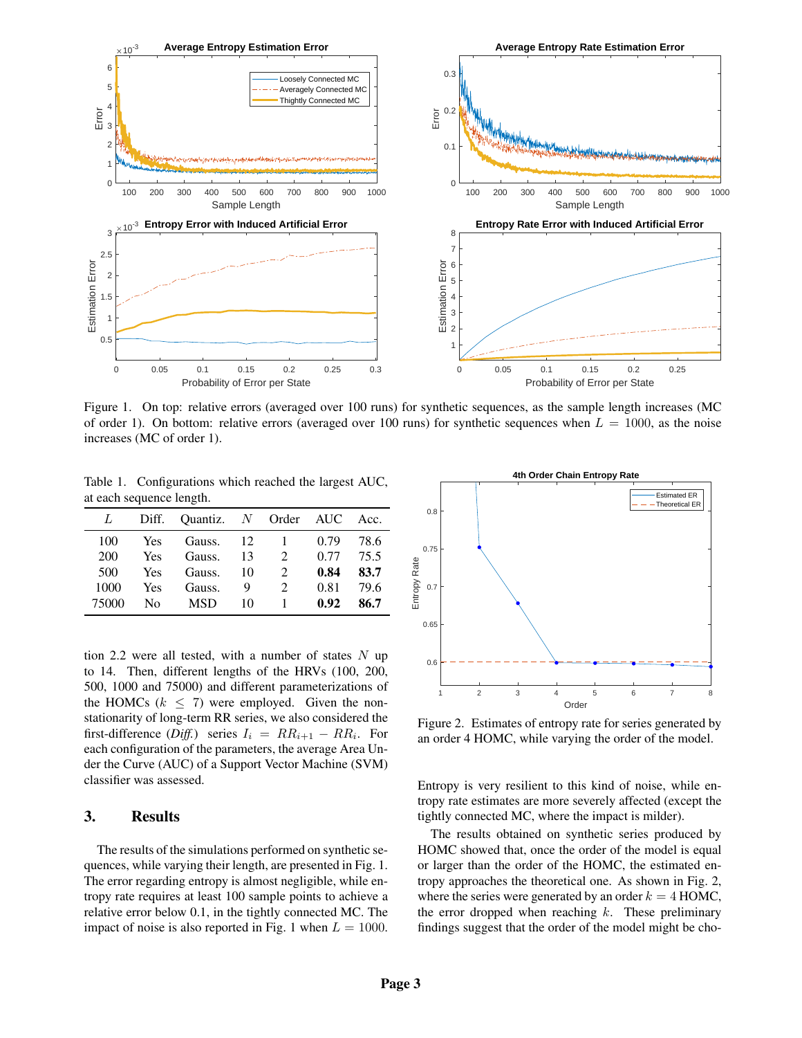

Figure 1. On top: relative errors (averaged over 100 runs) for synthetic sequences, as the sample length increases (MC of order 1). On bottom: relative errors (averaged over 100 runs) for synthetic sequences when  $L = 1000$ , as the noise increases (MC of order 1).

Table 1. Configurations which reached the largest AUC, at each sequence length.

| L     |            | Diff. Quantiz. N Order AUC |    |                             |      | Acc. |
|-------|------------|----------------------------|----|-----------------------------|------|------|
| 100   | <b>Yes</b> | Gauss.                     | 12 |                             | 0.79 | 78.6 |
| 200   | <b>Yes</b> | Gauss.                     | 13 | $\mathcal{D}_{\mathcal{L}}$ | 0.77 | 75.5 |
| 500   | <b>Yes</b> | Gauss.                     | 10 | $\mathfrak{D}$              | 0.84 | 83.7 |
| 1000  | Yes        | Gauss.                     | 9  | 2                           | 0.81 | 79.6 |
| 75000 | No.        | <b>MSD</b>                 | 10 |                             | 0.92 | 86.7 |

tion 2.2 were all tested, with a number of states  $N$  up to 14. Then, different lengths of the HRVs (100, 200, 500, 1000 and 75000) and different parameterizations of the HOMCs  $(k < 7)$  were employed. Given the nonstationarity of long-term RR series, we also considered the first-difference (*Diff.*) series  $I_i = RR_{i+1} - RR_i$ . For each configuration of the parameters, the average Area Under the Curve (AUC) of a Support Vector Machine (SVM) classifier was assessed.

## 3. Results

The results of the simulations performed on synthetic sequences, while varying their length, are presented in Fig. 1. The error regarding entropy is almost negligible, while entropy rate requires at least 100 sample points to achieve a relative error below 0.1, in the tightly connected MC. The impact of noise is also reported in Fig. 1 when  $L = 1000$ .



Figure 2. Estimates of entropy rate for series generated by an order 4 HOMC, while varying the order of the model.

Entropy is very resilient to this kind of noise, while entropy rate estimates are more severely affected (except the tightly connected MC, where the impact is milder).

The results obtained on synthetic series produced by HOMC showed that, once the order of the model is equal or larger than the order of the HOMC, the estimated entropy approaches the theoretical one. As shown in Fig. 2, where the series were generated by an order  $k = 4$  HOMC, the error dropped when reaching  $k$ . These preliminary findings suggest that the order of the model might be cho-